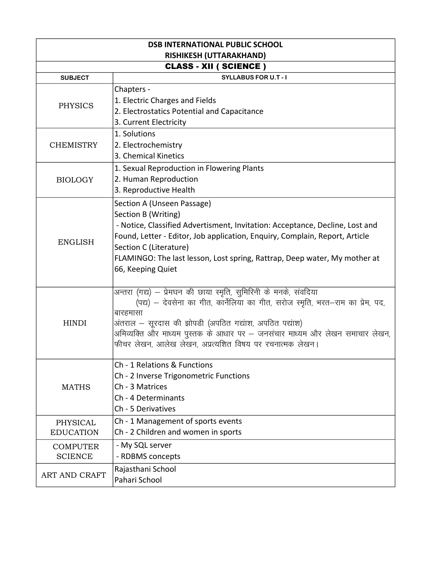| <b>DSB INTERNATIONAL PUBLIC SCHOOL</b> |                                                                                                                                         |  |
|----------------------------------------|-----------------------------------------------------------------------------------------------------------------------------------------|--|
| <b>RISHIKESH (UTTARAKHAND)</b>         |                                                                                                                                         |  |
| <b>CLASS - XII ( SCIENCE )</b>         |                                                                                                                                         |  |
| <b>SUBJECT</b>                         | <b>SYLLABUS FOR U.T - I</b>                                                                                                             |  |
|                                        | Chapters -                                                                                                                              |  |
| <b>PHYSICS</b>                         | 1. Electric Charges and Fields                                                                                                          |  |
|                                        | 2. Electrostatics Potential and Capacitance                                                                                             |  |
|                                        | 3. Current Electricity                                                                                                                  |  |
|                                        | 1. Solutions                                                                                                                            |  |
| <b>CHEMISTRY</b>                       | 2. Electrochemistry                                                                                                                     |  |
|                                        | 3. Chemical Kinetics                                                                                                                    |  |
|                                        | 1. Sexual Reproduction in Flowering Plants                                                                                              |  |
| <b>BIOLOGY</b>                         | 2. Human Reproduction                                                                                                                   |  |
|                                        | 3. Reproductive Health                                                                                                                  |  |
|                                        | Section A (Unseen Passage)                                                                                                              |  |
|                                        | Section B (Writing)                                                                                                                     |  |
|                                        | - Notice, Classified Advertisment, Invitation: Acceptance, Decline, Lost and                                                            |  |
| <b>ENGLISH</b>                         | Found, Letter - Editor, Job application, Enquiry, Complain, Report, Article                                                             |  |
|                                        | Section C (Literature)                                                                                                                  |  |
|                                        | FLAMINGO: The last lesson, Lost spring, Rattrap, Deep water, My mother at                                                               |  |
|                                        | 66, Keeping Quiet                                                                                                                       |  |
|                                        |                                                                                                                                         |  |
|                                        | अन्तरा (गद्य) – प्रेमघन की छाया स्मृति, सुमिरिनी के मनके, संवदिया                                                                       |  |
|                                        | (पद्य) – देवसेना का गीत, कार्नेलिया का गीत, सरोज स्मृति, भरत–राम का प्रेम, पद,                                                          |  |
|                                        | बारहमासा                                                                                                                                |  |
| <b>HINDI</b>                           | अंतराल – सूरदास की झोपडी (अपठित गद्यांश, अपठित पद्यांश)                                                                                 |  |
|                                        | अमिव्यक्ति और माध्यम पुस्तक के आधार पर – जनसंचार माध्यम और लेखन समाचार लेखन,<br>फीचर लेखन, आलेख लेखन, अप्रत्यशित विषय पर रचनात्मक लेखन। |  |
|                                        |                                                                                                                                         |  |
|                                        | Ch - 1 Relations & Functions                                                                                                            |  |
| <b>MATHS</b>                           | Ch - 2 Inverse Trigonometric Functions                                                                                                  |  |
|                                        | Ch - 3 Matrices                                                                                                                         |  |
|                                        | Ch - 4 Determinants                                                                                                                     |  |
|                                        | Ch - 5 Derivatives                                                                                                                      |  |
| PHYSICAL                               | Ch - 1 Management of sports events                                                                                                      |  |
| <b>EDUCATION</b>                       | Ch - 2 Children and women in sports                                                                                                     |  |
| <b>COMPUTER</b>                        | - My SQL server                                                                                                                         |  |
| <b>SCIENCE</b>                         | - RDBMS concepts                                                                                                                        |  |
| ART AND CRAFT                          | Rajasthani School                                                                                                                       |  |
|                                        | Pahari School                                                                                                                           |  |
|                                        |                                                                                                                                         |  |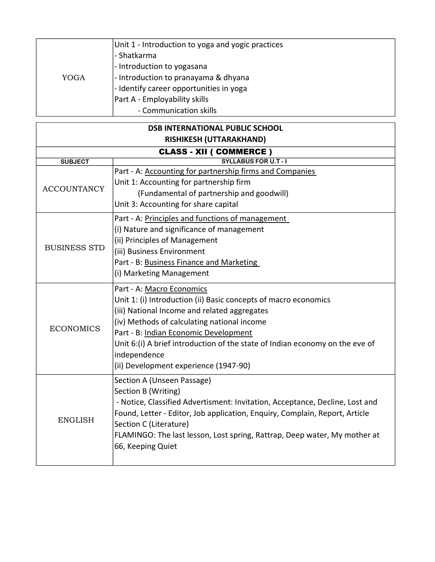| YOGA | Unit 1 - Introduction to yoga and yogic practices |
|------|---------------------------------------------------|
|      | - Shatkarma                                       |
|      | - Introduction to yogasana                        |
|      | - Introduction to pranayama & dhyana              |
|      | - Identify career opportunities in yoga           |
|      | Part A - Employability skills                     |
|      | - Communication skills                            |

| <b>DSB INTERNATIONAL PUBLIC SCHOOL</b> |                                                                              |  |  |
|----------------------------------------|------------------------------------------------------------------------------|--|--|
| RISHIKESH (UTTARAKHAND)                |                                                                              |  |  |
|                                        | <b>CLASS - XII ( COMMERCE )</b>                                              |  |  |
| <b>SUBJECT</b>                         | <b>SYLLABUS FOR U.T - I</b>                                                  |  |  |
|                                        | Part - A: Accounting for partnership firms and Companies                     |  |  |
| <b>ACCOUNTANCY</b>                     | Unit 1: Accounting for partnership firm                                      |  |  |
|                                        | (Fundamental of partnership and goodwill)                                    |  |  |
|                                        | Unit 3: Accounting for share capital                                         |  |  |
|                                        | Part - A: Principles and functions of management                             |  |  |
|                                        | (i) Nature and significance of management                                    |  |  |
|                                        | (ii) Principles of Management                                                |  |  |
| <b>BUSINESS STD</b>                    | (iii) Business Environment                                                   |  |  |
|                                        | Part - B: Business Finance and Marketing                                     |  |  |
|                                        | (i) Marketing Management                                                     |  |  |
|                                        | Part - A: Macro Economics                                                    |  |  |
|                                        | Unit 1: (i) Introduction (ii) Basic concepts of macro economics              |  |  |
|                                        | (iii) National Income and related aggregates                                 |  |  |
|                                        | (iv) Methods of calculating national income                                  |  |  |
| <b>ECONOMICS</b>                       | Part - B: Indian Economic Development                                        |  |  |
|                                        | Unit 6:(i) A brief introduction of the state of Indian economy on the eve of |  |  |
|                                        | independence                                                                 |  |  |
|                                        | (ii) Development experience (1947-90)                                        |  |  |
|                                        | Section A (Unseen Passage)                                                   |  |  |
|                                        | Section B (Writing)                                                          |  |  |
|                                        | - Notice, Classified Advertisment: Invitation, Acceptance, Decline, Lost and |  |  |
|                                        | Found, Letter - Editor, Job application, Enquiry, Complain, Report, Article  |  |  |
| <b>ENGLISH</b>                         | Section C (Literature)                                                       |  |  |
|                                        | FLAMINGO: The last lesson, Lost spring, Rattrap, Deep water, My mother at    |  |  |
|                                        | 66, Keeping Quiet                                                            |  |  |
|                                        |                                                                              |  |  |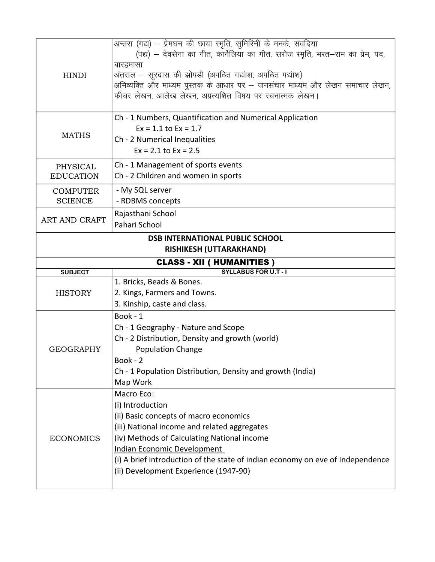| <b>HINDI</b>                                                      | अन्तरा (गद्य) – प्रेमघन की छाया स्मृति, सुमिरिनी के मनके, संवदिया<br>(पद्य) – देवसेना का गीत, कार्नेलिया का गीत, सरोज स्मृति, भरत–राम का प्रेम, पद,<br>बारहमासा<br>अंतराल – सूरदास की झोपडी (अपठित गद्यांश, अपठित पद्यांश)<br>अमिव्यक्ति और माध्यम पुस्तक के आधार पर — जनसंचार माध्यम और लेखन समाचार लेखन,<br>फीचर लेखन, आलेख लेखन, अप्रत्यशित विषय पर रचनात्मक लेखन। |  |
|-------------------------------------------------------------------|-----------------------------------------------------------------------------------------------------------------------------------------------------------------------------------------------------------------------------------------------------------------------------------------------------------------------------------------------------------------------|--|
| <b>MATHS</b>                                                      | Ch - 1 Numbers, Quantification and Numerical Application<br>$Ex = 1.1$ to $Ex = 1.7$<br>Ch - 2 Numerical Inequalities<br>$Ex = 2.1$ to $Ex = 2.5$                                                                                                                                                                                                                     |  |
| PHYSICAL<br><b>EDUCATION</b>                                      | Ch - 1 Management of sports events<br>Ch - 2 Children and women in sports                                                                                                                                                                                                                                                                                             |  |
| <b>COMPUTER</b><br><b>SCIENCE</b>                                 | - My SQL server<br>- RDBMS concepts                                                                                                                                                                                                                                                                                                                                   |  |
| <b>ART AND CRAFT</b>                                              | Rajasthani School<br>Pahari School                                                                                                                                                                                                                                                                                                                                    |  |
| <b>DSB INTERNATIONAL PUBLIC SCHOOL</b><br>RISHIKESH (UTTARAKHAND) |                                                                                                                                                                                                                                                                                                                                                                       |  |
|                                                                   | <b>CLASS - XII ( HUMANITIES )</b>                                                                                                                                                                                                                                                                                                                                     |  |
|                                                                   |                                                                                                                                                                                                                                                                                                                                                                       |  |
| <b>SUBJECT</b>                                                    | <b>SYLLABUS FOR U.T - I</b>                                                                                                                                                                                                                                                                                                                                           |  |
|                                                                   | 1. Bricks, Beads & Bones.                                                                                                                                                                                                                                                                                                                                             |  |
| <b>HISTORY</b>                                                    | 2. Kings, Farmers and Towns.                                                                                                                                                                                                                                                                                                                                          |  |
|                                                                   | 3. Kinship, caste and class.                                                                                                                                                                                                                                                                                                                                          |  |
|                                                                   | Book - 1                                                                                                                                                                                                                                                                                                                                                              |  |
|                                                                   | Ch - 1 Geography - Nature and Scope                                                                                                                                                                                                                                                                                                                                   |  |
| <b>GEOGRAPHY</b>                                                  | Ch - 2 Distribution, Density and growth (world)                                                                                                                                                                                                                                                                                                                       |  |
|                                                                   | <b>Population Change</b><br>Book - 2                                                                                                                                                                                                                                                                                                                                  |  |
|                                                                   | Ch - 1 Population Distribution, Density and growth (India)                                                                                                                                                                                                                                                                                                            |  |
|                                                                   | Map Work                                                                                                                                                                                                                                                                                                                                                              |  |
|                                                                   | Macro Eco:                                                                                                                                                                                                                                                                                                                                                            |  |
|                                                                   | (i) Introduction                                                                                                                                                                                                                                                                                                                                                      |  |
|                                                                   | (ii) Basic concepts of macro economics                                                                                                                                                                                                                                                                                                                                |  |
|                                                                   | (iii) National income and related aggregates                                                                                                                                                                                                                                                                                                                          |  |
| <b>ECONOMICS</b>                                                  | (iv) Methods of Calculating National income                                                                                                                                                                                                                                                                                                                           |  |
|                                                                   | <b>Indian Economic Development</b>                                                                                                                                                                                                                                                                                                                                    |  |
|                                                                   | (i) A brief introduction of the state of indian economy on eve of Independence<br>(ii) Development Experience (1947-90)                                                                                                                                                                                                                                               |  |